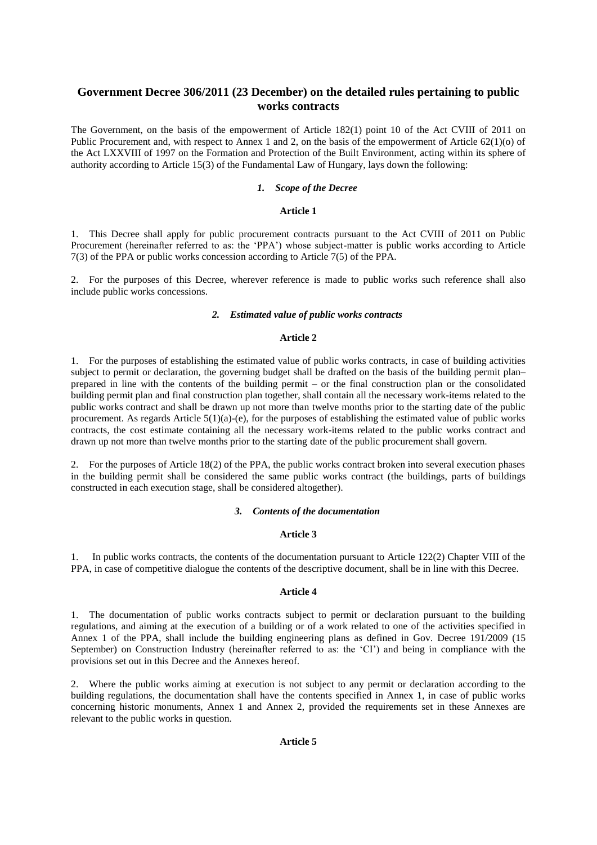# **Government Decree 306/2011 (23 December) on the detailed rules pertaining to public works contracts**

The Government, on the basis of the empowerment of Article 182(1) point 10 of the Act CVIII of 2011 on Public Procurement and, with respect to Annex 1 and 2, on the basis of the empowerment of Article 62(1)(o) of the Act LXXVIII of 1997 on the Formation and Protection of the Built Environment, acting within its sphere of authority according to Article 15(3) of the Fundamental Law of Hungary, lays down the following:

### *1. Scope of the Decree*

#### **Article 1**

1. This Decree shall apply for public procurement contracts pursuant to the Act CVIII of 2011 on Public Procurement (hereinafter referred to as: the 'PPA') whose subject-matter is public works according to Article 7(3) of the PPA or public works concession according to Article 7(5) of the PPA.

2. For the purposes of this Decree, wherever reference is made to public works such reference shall also include public works concessions.

#### *2. Estimated value of public works contracts*

### **Article 2**

1. For the purposes of establishing the estimated value of public works contracts, in case of building activities subject to permit or declaration, the governing budget shall be drafted on the basis of the building permit plan– prepared in line with the contents of the building permit – or the final construction plan or the consolidated building permit plan and final construction plan together, shall contain all the necessary work-items related to the public works contract and shall be drawn up not more than twelve months prior to the starting date of the public procurement. As regards Article 5(1)(a)-(e), for the purposes of establishing the estimated value of public works contracts, the cost estimate containing all the necessary work-items related to the public works contract and drawn up not more than twelve months prior to the starting date of the public procurement shall govern.

2. For the purposes of Article 18(2) of the PPA, the public works contract broken into several execution phases in the building permit shall be considered the same public works contract (the buildings, parts of buildings constructed in each execution stage, shall be considered altogether).

## *3. Contents of the documentation*

### **Article 3**

1. In public works contracts, the contents of the documentation pursuant to Article 122(2) Chapter VIII of the PPA, in case of competitive dialogue the contents of the descriptive document, shall be in line with this Decree.

## **Article 4**

1. The documentation of public works contracts subject to permit or declaration pursuant to the building regulations, and aiming at the execution of a building or of a work related to one of the activities specified in Annex 1 of the PPA, shall include the building engineering plans as defined in Gov. Decree 191/2009 (15 September) on Construction Industry (hereinafter referred to as: the 'CI') and being in compliance with the provisions set out in this Decree and the Annexes hereof.

2. Where the public works aiming at execution is not subject to any permit or declaration according to the building regulations, the documentation shall have the contents specified in Annex 1, in case of public works concerning historic monuments, Annex 1 and Annex 2, provided the requirements set in these Annexes are relevant to the public works in question.

## **Article 5**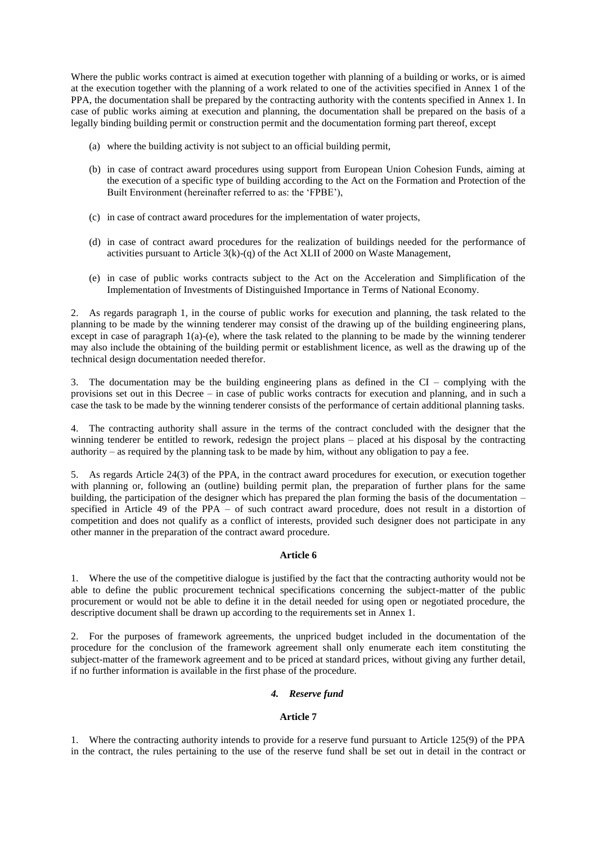Where the public works contract is aimed at execution together with planning of a building or works, or is aimed at the execution together with the planning of a work related to one of the activities specified in Annex 1 of the PPA, the documentation shall be prepared by the contracting authority with the contents specified in Annex 1. In case of public works aiming at execution and planning, the documentation shall be prepared on the basis of a legally binding building permit or construction permit and the documentation forming part thereof, except

- (a) where the building activity is not subject to an official building permit,
- (b) in case of contract award procedures using support from European Union Cohesion Funds, aiming at the execution of a specific type of building according to the Act on the Formation and Protection of the Built Environment (hereinafter referred to as: the 'FPBE'),
- (c) in case of contract award procedures for the implementation of water projects,
- (d) in case of contract award procedures for the realization of buildings needed for the performance of activities pursuant to Article 3(k)-(q) of the Act XLII of 2000 on Waste Management,
- (e) in case of public works contracts subject to the Act on the Acceleration and Simplification of the Implementation of Investments of Distinguished Importance in Terms of National Economy.

2. As regards paragraph 1, in the course of public works for execution and planning, the task related to the planning to be made by the winning tenderer may consist of the drawing up of the building engineering plans, except in case of paragraph 1(a)-(e), where the task related to the planning to be made by the winning tenderer may also include the obtaining of the building permit or establishment licence, as well as the drawing up of the technical design documentation needed therefor.

3. The documentation may be the building engineering plans as defined in the CI – complying with the provisions set out in this Decree – in case of public works contracts for execution and planning, and in such a case the task to be made by the winning tenderer consists of the performance of certain additional planning tasks.

4. The contracting authority shall assure in the terms of the contract concluded with the designer that the winning tenderer be entitled to rework, redesign the project plans – placed at his disposal by the contracting authority – as required by the planning task to be made by him, without any obligation to pay a fee.

5. As regards Article 24(3) of the PPA, in the contract award procedures for execution, or execution together with planning or, following an (outline) building permit plan, the preparation of further plans for the same building, the participation of the designer which has prepared the plan forming the basis of the documentation – specified in Article 49 of the PPA – of such contract award procedure, does not result in a distortion of competition and does not qualify as a conflict of interests, provided such designer does not participate in any other manner in the preparation of the contract award procedure.

## **Article 6**

1. Where the use of the competitive dialogue is justified by the fact that the contracting authority would not be able to define the public procurement technical specifications concerning the subject-matter of the public procurement or would not be able to define it in the detail needed for using open or negotiated procedure, the descriptive document shall be drawn up according to the requirements set in Annex 1.

2. For the purposes of framework agreements, the unpriced budget included in the documentation of the procedure for the conclusion of the framework agreement shall only enumerate each item constituting the subject-matter of the framework agreement and to be priced at standard prices, without giving any further detail, if no further information is available in the first phase of the procedure.

# *4. Reserve fund*

#### **Article 7**

1. Where the contracting authority intends to provide for a reserve fund pursuant to Article 125(9) of the PPA in the contract, the rules pertaining to the use of the reserve fund shall be set out in detail in the contract or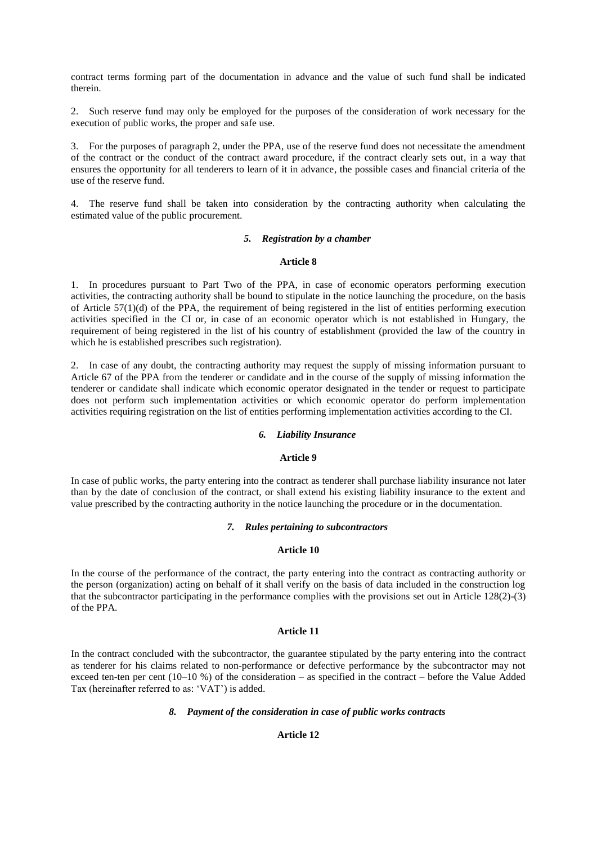contract terms forming part of the documentation in advance and the value of such fund shall be indicated therein.

2. Such reserve fund may only be employed for the purposes of the consideration of work necessary for the execution of public works, the proper and safe use.

3. For the purposes of paragraph 2, under the PPA, use of the reserve fund does not necessitate the amendment of the contract or the conduct of the contract award procedure, if the contract clearly sets out, in a way that ensures the opportunity for all tenderers to learn of it in advance, the possible cases and financial criteria of the use of the reserve fund.

4. The reserve fund shall be taken into consideration by the contracting authority when calculating the estimated value of the public procurement.

#### *5. Registration by a chamber*

#### **Article 8**

1. In procedures pursuant to Part Two of the PPA, in case of economic operators performing execution activities, the contracting authority shall be bound to stipulate in the notice launching the procedure, on the basis of Article 57(1)(d) of the PPA, the requirement of being registered in the list of entities performing execution activities specified in the CI or, in case of an economic operator which is not established in Hungary, the requirement of being registered in the list of his country of establishment (provided the law of the country in which he is established prescribes such registration).

2. In case of any doubt, the contracting authority may request the supply of missing information pursuant to Article 67 of the PPA from the tenderer or candidate and in the course of the supply of missing information the tenderer or candidate shall indicate which economic operator designated in the tender or request to participate does not perform such implementation activities or which economic operator do perform implementation activities requiring registration on the list of entities performing implementation activities according to the CI.

### *6. Liability Insurance*

## **Article 9**

In case of public works, the party entering into the contract as tenderer shall purchase liability insurance not later than by the date of conclusion of the contract, or shall extend his existing liability insurance to the extent and value prescribed by the contracting authority in the notice launching the procedure or in the documentation.

#### *7. Rules pertaining to subcontractors*

### **Article 10**

In the course of the performance of the contract, the party entering into the contract as contracting authority or the person (organization) acting on behalf of it shall verify on the basis of data included in the construction log that the subcontractor participating in the performance complies with the provisions set out in Article 128(2)-(3) of the PPA.

## **Article 11**

In the contract concluded with the subcontractor, the guarantee stipulated by the party entering into the contract as tenderer for his claims related to non-performance or defective performance by the subcontractor may not exceed ten-ten per cent (10–10 %) of the consideration – as specified in the contract – before the Value Added Tax (hereinafter referred to as: 'VAT') is added.

#### *8. Payment of the consideration in case of public works contracts*

#### **Article 12**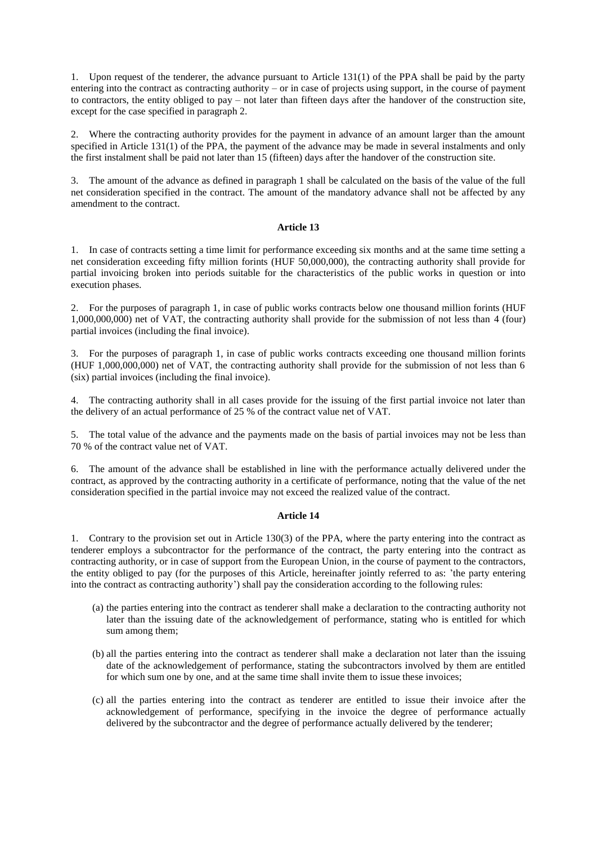1. Upon request of the tenderer, the advance pursuant to Article 131(1) of the PPA shall be paid by the party entering into the contract as contracting authority – or in case of projects using support, in the course of payment to contractors, the entity obliged to pay – not later than fifteen days after the handover of the construction site, except for the case specified in paragraph 2.

2. Where the contracting authority provides for the payment in advance of an amount larger than the amount specified in Article 131(1) of the PPA, the payment of the advance may be made in several instalments and only the first instalment shall be paid not later than 15 (fifteen) days after the handover of the construction site.

3. The amount of the advance as defined in paragraph 1 shall be calculated on the basis of the value of the full net consideration specified in the contract. The amount of the mandatory advance shall not be affected by any amendment to the contract.

### **Article 13**

1. In case of contracts setting a time limit for performance exceeding six months and at the same time setting a net consideration exceeding fifty million forints (HUF 50,000,000), the contracting authority shall provide for partial invoicing broken into periods suitable for the characteristics of the public works in question or into execution phases.

2. For the purposes of paragraph 1, in case of public works contracts below one thousand million forints (HUF 1,000,000,000) net of VAT, the contracting authority shall provide for the submission of not less than 4 (four) partial invoices (including the final invoice).

3. For the purposes of paragraph 1, in case of public works contracts exceeding one thousand million forints (HUF 1,000,000,000) net of VAT, the contracting authority shall provide for the submission of not less than 6 (six) partial invoices (including the final invoice).

4. The contracting authority shall in all cases provide for the issuing of the first partial invoice not later than the delivery of an actual performance of 25 % of the contract value net of VAT.

5. The total value of the advance and the payments made on the basis of partial invoices may not be less than 70 % of the contract value net of VAT.

6. The amount of the advance shall be established in line with the performance actually delivered under the contract, as approved by the contracting authority in a certificate of performance, noting that the value of the net consideration specified in the partial invoice may not exceed the realized value of the contract.

## **Article 14**

1. Contrary to the provision set out in Article 130(3) of the PPA, where the party entering into the contract as tenderer employs a subcontractor for the performance of the contract, the party entering into the contract as contracting authority, or in case of support from the European Union, in the course of payment to the contractors, the entity obliged to pay (for the purposes of this Article, hereinafter jointly referred to as: 'the party entering into the contract as contracting authority') shall pay the consideration according to the following rules:

- (a) the parties entering into the contract as tenderer shall make a declaration to the contracting authority not later than the issuing date of the acknowledgement of performance, stating who is entitled for which sum among them;
- (b) all the parties entering into the contract as tenderer shall make a declaration not later than the issuing date of the acknowledgement of performance, stating the subcontractors involved by them are entitled for which sum one by one, and at the same time shall invite them to issue these invoices;
- (c) all the parties entering into the contract as tenderer are entitled to issue their invoice after the acknowledgement of performance, specifying in the invoice the degree of performance actually delivered by the subcontractor and the degree of performance actually delivered by the tenderer;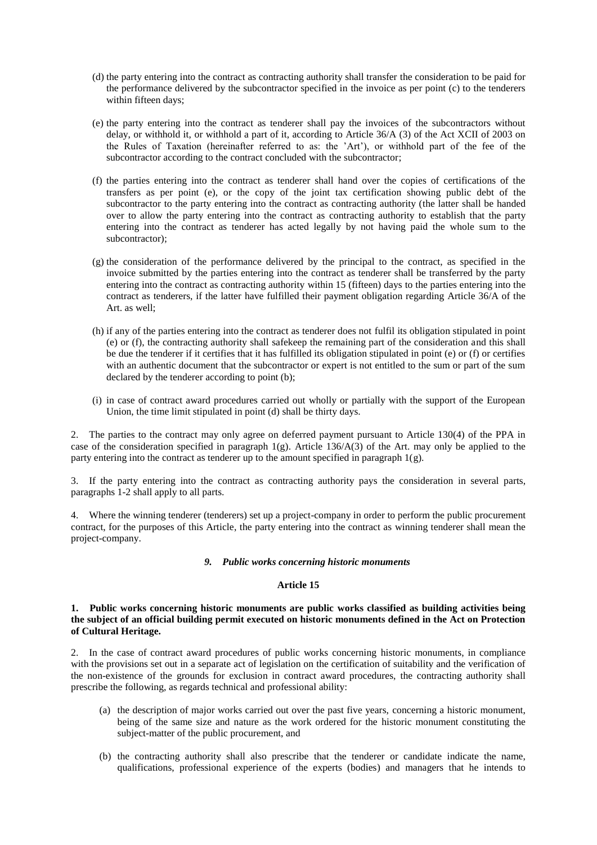- (d) the party entering into the contract as contracting authority shall transfer the consideration to be paid for the performance delivered by the subcontractor specified in the invoice as per point (c) to the tenderers within fifteen days;
- (e) the party entering into the contract as tenderer shall pay the invoices of the subcontractors without delay, or withhold it, or withhold a part of it, according to Article 36/A (3) of the Act XCII of 2003 on the Rules of Taxation (hereinafter referred to as: the 'Art'), or withhold part of the fee of the subcontractor according to the contract concluded with the subcontractor;
- (f) the parties entering into the contract as tenderer shall hand over the copies of certifications of the transfers as per point (e), or the copy of the joint tax certification showing public debt of the subcontractor to the party entering into the contract as contracting authority (the latter shall be handed over to allow the party entering into the contract as contracting authority to establish that the party entering into the contract as tenderer has acted legally by not having paid the whole sum to the subcontractor);
- (g) the consideration of the performance delivered by the principal to the contract, as specified in the invoice submitted by the parties entering into the contract as tenderer shall be transferred by the party entering into the contract as contracting authority within 15 (fifteen) days to the parties entering into the contract as tenderers, if the latter have fulfilled their payment obligation regarding Article 36/A of the Art. as well;
- (h) if any of the parties entering into the contract as tenderer does not fulfil its obligation stipulated in point (e) or (f), the contracting authority shall safekeep the remaining part of the consideration and this shall be due the tenderer if it certifies that it has fulfilled its obligation stipulated in point (e) or (f) or certifies with an authentic document that the subcontractor or expert is not entitled to the sum or part of the sum declared by the tenderer according to point (b);
- (i) in case of contract award procedures carried out wholly or partially with the support of the European Union, the time limit stipulated in point (d) shall be thirty days.

2. The parties to the contract may only agree on deferred payment pursuant to Article 130(4) of the PPA in case of the consideration specified in paragraph 1(g). Article 136/A(3) of the Art. may only be applied to the party entering into the contract as tenderer up to the amount specified in paragraph  $1(g)$ .

3. If the party entering into the contract as contracting authority pays the consideration in several parts, paragraphs 1-2 shall apply to all parts.

4. Where the winning tenderer (tenderers) set up a project-company in order to perform the public procurement contract, for the purposes of this Article, the party entering into the contract as winning tenderer shall mean the project-company.

#### *9. Public works concerning historic monuments*

#### **Article 15**

## **1. Public works concerning historic monuments are public works classified as building activities being the subject of an official building permit executed on historic monuments defined in the Act on Protection of Cultural Heritage.**

2. In the case of contract award procedures of public works concerning historic monuments, in compliance with the provisions set out in a separate act of legislation on the certification of suitability and the verification of the non-existence of the grounds for exclusion in contract award procedures, the contracting authority shall prescribe the following, as regards technical and professional ability:

- (a) the description of major works carried out over the past five years, concerning a historic monument, being of the same size and nature as the work ordered for the historic monument constituting the subject-matter of the public procurement, and
- (b) the contracting authority shall also prescribe that the tenderer or candidate indicate the name, qualifications, professional experience of the experts (bodies) and managers that he intends to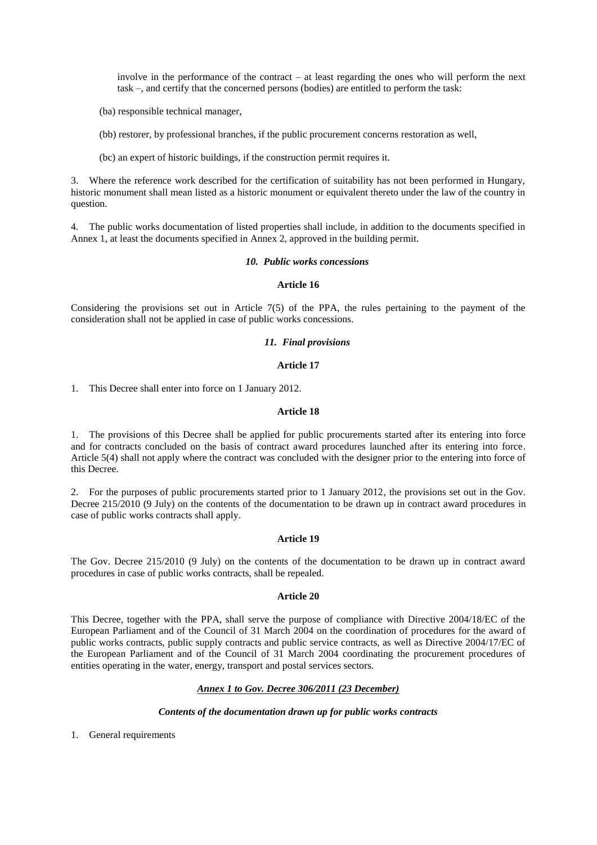involve in the performance of the contract – at least regarding the ones who will perform the next task –, and certify that the concerned persons (bodies) are entitled to perform the task:

- (ba) responsible technical manager,
- (bb) restorer, by professional branches, if the public procurement concerns restoration as well,
- (bc) an expert of historic buildings, if the construction permit requires it.

3. Where the reference work described for the certification of suitability has not been performed in Hungary, historic monument shall mean listed as a historic monument or equivalent thereto under the law of the country in question.

4. The public works documentation of listed properties shall include, in addition to the documents specified in Annex 1, at least the documents specified in Annex 2, approved in the building permit.

#### *10. Public works concessions*

### **Article 16**

Considering the provisions set out in Article 7(5) of the PPA, the rules pertaining to the payment of the consideration shall not be applied in case of public works concessions.

#### *11. Final provisions*

#### **Article 17**

1. This Decree shall enter into force on 1 January 2012.

#### **Article 18**

1. The provisions of this Decree shall be applied for public procurements started after its entering into force and for contracts concluded on the basis of contract award procedures launched after its entering into force. Article 5(4) shall not apply where the contract was concluded with the designer prior to the entering into force of this Decree.

2. For the purposes of public procurements started prior to 1 January 2012, the provisions set out in the Gov. Decree 215/2010 (9 July) on the contents of the documentation to be drawn up in contract award procedures in case of public works contracts shall apply.

## **Article 19**

The Gov. Decree 215/2010 (9 July) on the contents of the documentation to be drawn up in contract award procedures in case of public works contracts, shall be repealed.

#### **Article 20**

This Decree, together with the PPA, shall serve the purpose of compliance with Directive 2004/18/EC of the European Parliament and of the Council of 31 March 2004 on the coordination of procedures for the award of public works contracts, public supply contracts and public service contracts, as well as Directive 2004/17/EC of the European Parliament and of the Council of 31 March 2004 coordinating the procurement procedures of entities operating in the water, energy, transport and postal services sectors.

#### *Annex 1 to Gov. Decree 306/2011 (23 December)*

#### *Contents of the documentation drawn up for public works contracts*

1. General requirements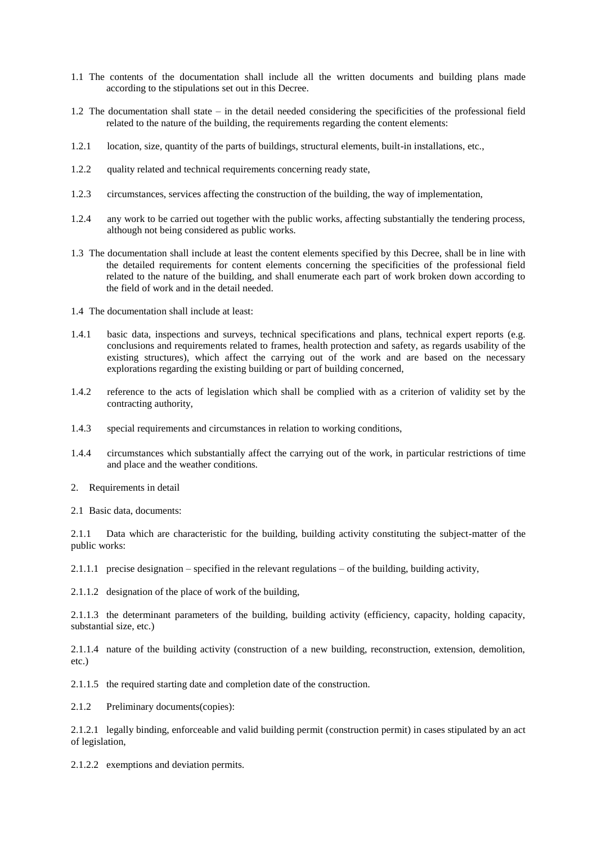- 1.1 The contents of the documentation shall include all the written documents and building plans made according to the stipulations set out in this Decree.
- 1.2 The documentation shall state in the detail needed considering the specificities of the professional field related to the nature of the building, the requirements regarding the content elements:
- 1.2.1 location, size, quantity of the parts of buildings, structural elements, built-in installations, etc.,
- 1.2.2 quality related and technical requirements concerning ready state,
- 1.2.3 circumstances, services affecting the construction of the building, the way of implementation,
- 1.2.4 any work to be carried out together with the public works, affecting substantially the tendering process, although not being considered as public works.
- 1.3 The documentation shall include at least the content elements specified by this Decree, shall be in line with the detailed requirements for content elements concerning the specificities of the professional field related to the nature of the building, and shall enumerate each part of work broken down according to the field of work and in the detail needed.
- 1.4 The documentation shall include at least:
- 1.4.1 basic data, inspections and surveys, technical specifications and plans, technical expert reports (e.g. conclusions and requirements related to frames, health protection and safety, as regards usability of the existing structures), which affect the carrying out of the work and are based on the necessary explorations regarding the existing building or part of building concerned,
- 1.4.2 reference to the acts of legislation which shall be complied with as a criterion of validity set by the contracting authority,
- 1.4.3 special requirements and circumstances in relation to working conditions,
- 1.4.4 circumstances which substantially affect the carrying out of the work, in particular restrictions of time and place and the weather conditions.
- 2. Requirements in detail
- 2.1 Basic data, documents:

2.1.1 Data which are characteristic for the building, building activity constituting the subject-matter of the public works:

2.1.1.1 precise designation – specified in the relevant regulations – of the building, building activity,

2.1.1.2 designation of the place of work of the building,

2.1.1.3 the determinant parameters of the building, building activity (efficiency, capacity, holding capacity, substantial size, etc.)

2.1.1.4 nature of the building activity (construction of a new building, reconstruction, extension, demolition, etc.)

2.1.1.5 the required starting date and completion date of the construction.

2.1.2 Preliminary documents(copies):

2.1.2.1 legally binding, enforceable and valid building permit (construction permit) in cases stipulated by an act of legislation,

2.1.2.2 exemptions and deviation permits.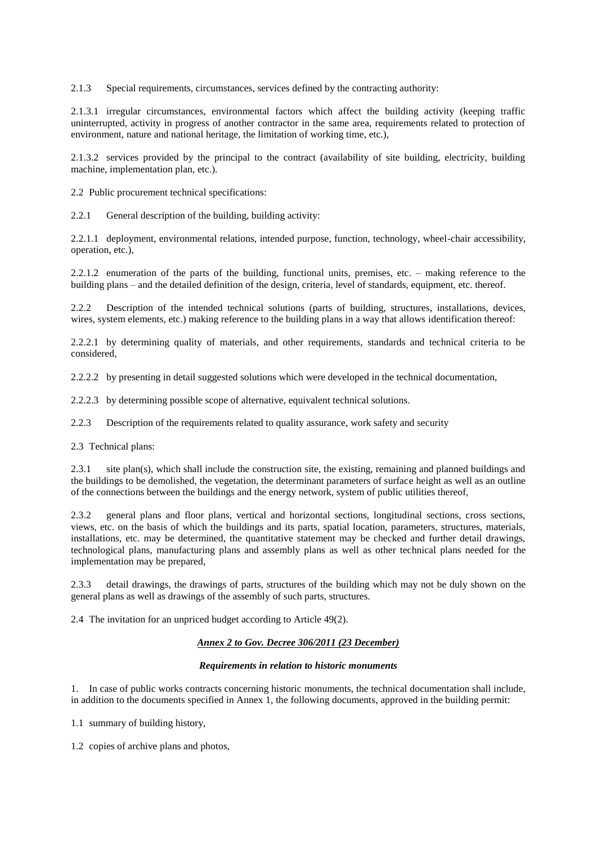2.1.3 Special requirements, circumstances, services defined by the contracting authority:

2.1.3.1 irregular circumstances, environmental factors which affect the building activity (keeping traffic uninterrupted, activity in progress of another contractor in the same area, requirements related to protection of environment, nature and national heritage, the limitation of working time, etc.),

2.1.3.2 services provided by the principal to the contract (availability of site building, electricity, building machine, implementation plan, etc.).

2.2 Public procurement technical specifications:

2.2.1 General description of the building, building activity:

2.2.1.1 deployment, environmental relations, intended purpose, function, technology, wheel-chair accessibility, operation, etc.),

2.2.1.2 enumeration of the parts of the building, functional units, premises, etc. – making reference to the building plans – and the detailed definition of the design, criteria, level of standards, equipment, etc. thereof.

2.2.2 Description of the intended technical solutions (parts of building, structures, installations, devices, wires, system elements, etc.) making reference to the building plans in a way that allows identification thereof:

2.2.2.1 by determining quality of materials, and other requirements, standards and technical criteria to be considered,

2.2.2.2 by presenting in detail suggested solutions which were developed in the technical documentation,

2.2.2.3 by determining possible scope of alternative, equivalent technical solutions.

2.2.3 Description of the requirements related to quality assurance, work safety and security

2.3 Technical plans:

2.3.1 site plan(s), which shall include the construction site, the existing, remaining and planned buildings and the buildings to be demolished, the vegetation, the determinant parameters of surface height as well as an outline of the connections between the buildings and the energy network, system of public utilities thereof,

2.3.2 general plans and floor plans, vertical and horizontal sections, longitudinal sections, cross sections, views, etc. on the basis of which the buildings and its parts, spatial location, parameters, structures, materials, installations, etc. may be determined, the quantitative statement may be checked and further detail drawings, technological plans, manufacturing plans and assembly plans as well as other technical plans needed for the implementation may be prepared,

2.3.3 detail drawings, the drawings of parts, structures of the building which may not be duly shown on the general plans as well as drawings of the assembly of such parts, structures.

2.4 The invitation for an unpriced budget according to Article 49(2).

## *Annex 2 to Gov. Decree 306/2011 (23 December)*

#### *Requirements in relation to historic monuments*

1. In case of public works contracts concerning historic monuments, the technical documentation shall include, in addition to the documents specified in Annex 1, the following documents, approved in the building permit:

1.1 summary of building history,

1.2 copies of archive plans and photos,